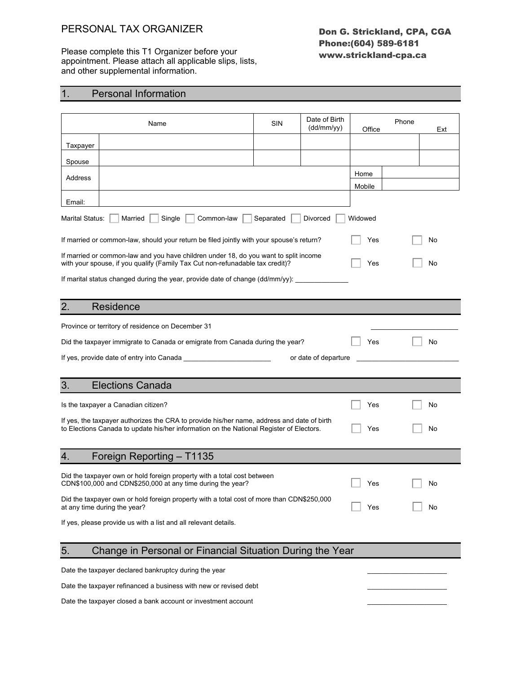#### PERSONAL TAX ORGANIZER

Please complete this T1 Organizer before your appointment. Please attach all applicable slips, lists, and other supplemental information.

#### Don G. Strickland, CPA, CGA Phone:(604) 589-6181 www.strickland-cpa.ca

### 1. Personal Information

| Name                                                                                                                                                                                  | SIN | Date of Birth<br>(dd/mm/yy) | Office | Phone | Ext |  |
|---------------------------------------------------------------------------------------------------------------------------------------------------------------------------------------|-----|-----------------------------|--------|-------|-----|--|
| Taxpayer                                                                                                                                                                              |     |                             |        |       |     |  |
| Spouse                                                                                                                                                                                |     |                             |        |       |     |  |
| Address                                                                                                                                                                               |     |                             | Home   |       |     |  |
|                                                                                                                                                                                       |     |                             | Mobile |       |     |  |
| Email:                                                                                                                                                                                |     |                             |        |       |     |  |
| Marital Status:<br>Widowed<br>Married<br>Single<br>Common-law<br>Separated<br>Divorced                                                                                                |     |                             |        |       |     |  |
| If married or common-law, should your return be filed jointly with your spouse's return?                                                                                              |     |                             | Yes    |       | No  |  |
| If married or common-law and you have children under 18, do you want to split income<br>with your spouse, if you qualify (Family Tax Cut non-refunadable tax credit)?                 |     |                             | Yes    |       | No  |  |
| If marital status changed during the year, provide date of change (dd/mm/yy):                                                                                                         |     |                             |        |       |     |  |
|                                                                                                                                                                                       |     |                             |        |       |     |  |
| 2.<br>Residence                                                                                                                                                                       |     |                             |        |       |     |  |
| Province or territory of residence on December 31                                                                                                                                     |     |                             |        |       |     |  |
| Did the taxpayer immigrate to Canada or emigrate from Canada during the year?                                                                                                         |     |                             | Yes    |       | No  |  |
| or date of departure                                                                                                                                                                  |     |                             |        |       |     |  |
|                                                                                                                                                                                       |     |                             |        |       |     |  |
| <b>Elections Canada</b><br>3.                                                                                                                                                         |     |                             |        |       |     |  |
| Is the taxpayer a Canadian citizen?                                                                                                                                                   |     |                             | Yes    |       | No  |  |
| If yes, the taxpayer authorizes the CRA to provide his/her name, address and date of birth<br>to Elections Canada to update his/her information on the National Register of Electors. |     |                             | Yes    |       | No  |  |
|                                                                                                                                                                                       |     |                             |        |       |     |  |
| Foreign Reporting - T1135<br>4.                                                                                                                                                       |     |                             |        |       |     |  |
| Did the taxpayer own or hold foreign property with a total cost between                                                                                                               |     |                             |        |       |     |  |
| CDN\$100,000 and CDN\$250,000 at any time during the year?                                                                                                                            |     |                             | Yes    |       | No  |  |
| Did the taxpayer own or hold foreign property with a total cost of more than CDN\$250,000<br>at any time during the year?                                                             |     |                             | Yes    |       | No  |  |
| If yes, please provide us with a list and all relevant details.                                                                                                                       |     |                             |        |       |     |  |
|                                                                                                                                                                                       |     |                             |        |       |     |  |
| 5.<br>Change in Personal or Financial Situation During the Year                                                                                                                       |     |                             |        |       |     |  |
| Date the taxpayer declared bankruptcy during the year                                                                                                                                 |     |                             |        |       |     |  |
| Date the taxpayer refinanced a business with new or revised debt                                                                                                                      |     |                             |        |       |     |  |
| Date the taxpayer closed a bank account or investment account                                                                                                                         |     |                             |        |       |     |  |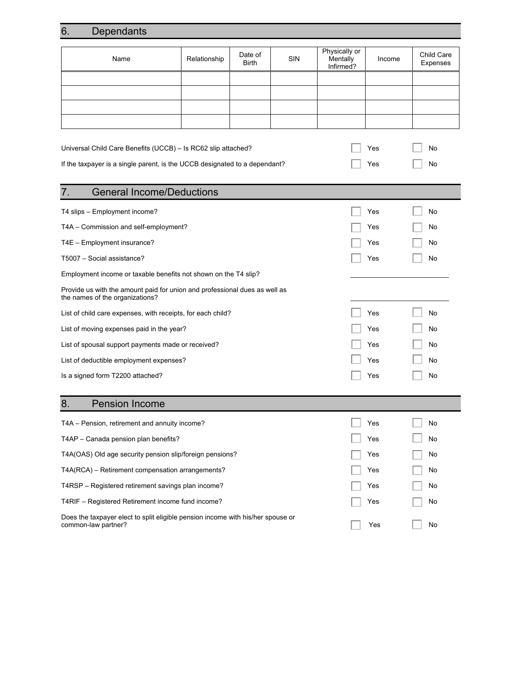# 6. Dependants

| Name                                                                                                          | Relationship | Date of<br><b>Birth</b> | <b>SIN</b> | Physically or<br>Mentally<br>Infirmed? | Income | Child Care<br>Expenses |
|---------------------------------------------------------------------------------------------------------------|--------------|-------------------------|------------|----------------------------------------|--------|------------------------|
|                                                                                                               |              |                         |            |                                        |        |                        |
|                                                                                                               |              |                         |            |                                        |        |                        |
|                                                                                                               |              |                         |            |                                        |        |                        |
|                                                                                                               |              |                         |            |                                        |        |                        |
|                                                                                                               |              |                         |            |                                        |        |                        |
| Universal Child Care Benefits (UCCB) - Is RC62 slip attached?                                                 |              |                         |            | Yes                                    | No     |                        |
| If the taxpayer is a single parent, is the UCCB designated to a dependant?                                    |              |                         |            | Yes                                    | No     |                        |
| <b>General Income/Deductions</b><br>7.                                                                        |              |                         |            |                                        |        |                        |
| T4 slips - Employment income?                                                                                 |              |                         |            |                                        | Yes    | No                     |
| T4A - Commission and self-employment?                                                                         |              |                         |            |                                        | Yes    | No                     |
| T4E - Employment insurance?                                                                                   |              |                         |            |                                        | Yes    | No                     |
| T5007 - Social assistance?                                                                                    |              |                         |            |                                        | Yes    | No                     |
| Employment income or taxable benefits not shown on the T4 slip?                                               |              |                         |            |                                        |        |                        |
| Provide us with the amount paid for union and professional dues as well as<br>the names of the organizations? |              |                         |            |                                        |        |                        |
| List of child care expenses, with receipts, for each child?                                                   |              |                         |            |                                        | Yes    | No                     |
| List of moving expenses paid in the year?                                                                     |              |                         |            |                                        | Yes    | No                     |
| List of spousal support payments made or received?                                                            |              |                         |            |                                        | Yes    | No                     |
| List of deductible employment expenses?                                                                       |              |                         |            |                                        | Yes    | No                     |
| Is a signed form T2200 attached?                                                                              |              |                         |            |                                        | Yes    | No                     |
|                                                                                                               |              |                         |            |                                        |        |                        |
| <b>Pension Income</b><br>8.                                                                                   |              |                         |            |                                        |        |                        |
| T4A - Pension, retirement and annuity income?                                                                 |              |                         |            |                                        | Yes    | No                     |
| T4AP - Canada pension plan benefits?                                                                          |              |                         |            |                                        | Yes    | No                     |
| T4A(OAS) Old age security pension slip/foreign pensions?                                                      |              |                         |            |                                        | Yes    | No                     |
| T4A(RCA) – Retirement compensation arrangements?                                                              |              |                         |            |                                        | Yes    | No                     |
| T4RSP - Registered retirement savings plan income?                                                            |              |                         |            |                                        | Yes    | No                     |
| T4RIF - Registered Retirement income fund income?                                                             |              |                         |            |                                        | Yes    | No                     |
| Does the taxpayer elect to split eligible pension income with his/her spouse or<br>common-law partner?        |              |                         |            |                                        | Yes    | No                     |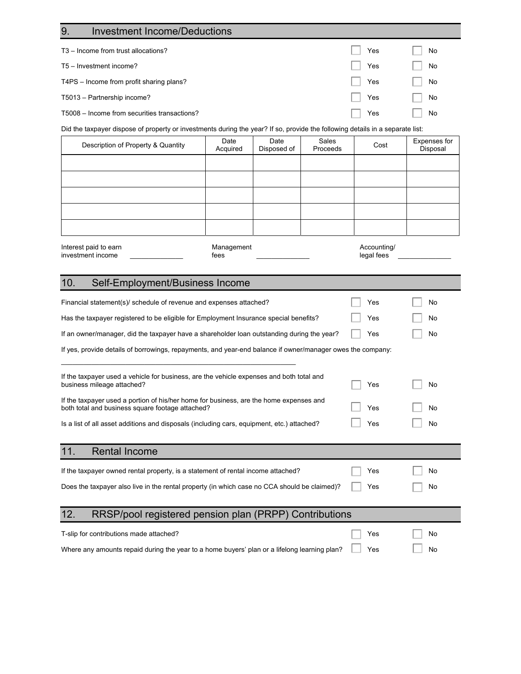| <b>Investment Income/Deductions</b><br>9.                                                                                                         |                  |                     |                   |             |                          |  |
|---------------------------------------------------------------------------------------------------------------------------------------------------|------------------|---------------------|-------------------|-------------|--------------------------|--|
| T3 - Income from trust allocations?                                                                                                               |                  |                     |                   | Yes         | No                       |  |
| T5 - Investment income?                                                                                                                           |                  |                     |                   | Yes         | No                       |  |
| T4PS - Income from profit sharing plans?                                                                                                          |                  |                     |                   | Yes         | No                       |  |
| T5013 - Partnership income?                                                                                                                       |                  |                     |                   | Yes         | No                       |  |
| T5008 - Income from securities transactions?                                                                                                      |                  |                     |                   | Yes         | No                       |  |
| Did the taxpayer dispose of property or investments during the year? If so, provide the following details in a separate list:                     |                  |                     |                   |             |                          |  |
| Description of Property & Quantity                                                                                                                | Date<br>Acquired | Date<br>Disposed of | Sales<br>Proceeds | Cost        | Expenses for<br>Disposal |  |
|                                                                                                                                                   |                  |                     |                   |             |                          |  |
|                                                                                                                                                   |                  |                     |                   |             |                          |  |
|                                                                                                                                                   |                  |                     |                   |             |                          |  |
|                                                                                                                                                   |                  |                     |                   |             |                          |  |
|                                                                                                                                                   |                  |                     |                   |             |                          |  |
| Interest paid to earn                                                                                                                             | Management       |                     |                   | Accounting/ |                          |  |
| investment income                                                                                                                                 | fees             |                     |                   | legal fees  |                          |  |
| 10.<br>Self-Employment/Business Income                                                                                                            |                  |                     |                   |             |                          |  |
| Financial statement(s)/ schedule of revenue and expenses attached?                                                                                |                  |                     |                   | Yes         | No.                      |  |
| Has the taxpayer registered to be eligible for Employment Insurance special benefits?                                                             |                  |                     |                   | Yes         | No                       |  |
| If an owner/manager, did the taxpayer have a shareholder loan outstanding during the year?                                                        |                  |                     |                   | Yes         | No                       |  |
| If yes, provide details of borrowings, repayments, and year-end balance if owner/manager owes the company:                                        |                  |                     |                   |             |                          |  |
|                                                                                                                                                   |                  |                     |                   |             |                          |  |
| If the taxpayer used a vehicle for business, are the vehicle expenses and both total and<br>business mileage attached?                            |                  |                     |                   | Yes         | No                       |  |
| If the taxpayer used a portion of his/her home for business, are the home expenses and<br>both total and business square footage attached?<br>Yes |                  |                     |                   |             | No                       |  |
| Is a list of all asset additions and disposals (including cars, equipment, etc.) attached?                                                        |                  |                     |                   | Yes         | No                       |  |
|                                                                                                                                                   |                  |                     |                   |             |                          |  |
| 11.<br><b>Rental Income</b>                                                                                                                       |                  |                     |                   |             |                          |  |
| If the taxpayer owned rental property, is a statement of rental income attached?                                                                  |                  |                     |                   | Yes         | No                       |  |
| Does the taxpayer also live in the rental property (in which case no CCA should be claimed)?                                                      |                  |                     |                   | Yes         | No                       |  |
|                                                                                                                                                   |                  |                     |                   |             |                          |  |
| 12.<br>RRSP/pool registered pension plan (PRPP) Contributions                                                                                     |                  |                     |                   |             |                          |  |
| T-slip for contributions made attached?                                                                                                           |                  |                     |                   | Yes         | No                       |  |
| Where any amounts repaid during the year to a home buyers' plan or a lifelong learning plan?                                                      |                  |                     |                   | Yes         | No                       |  |